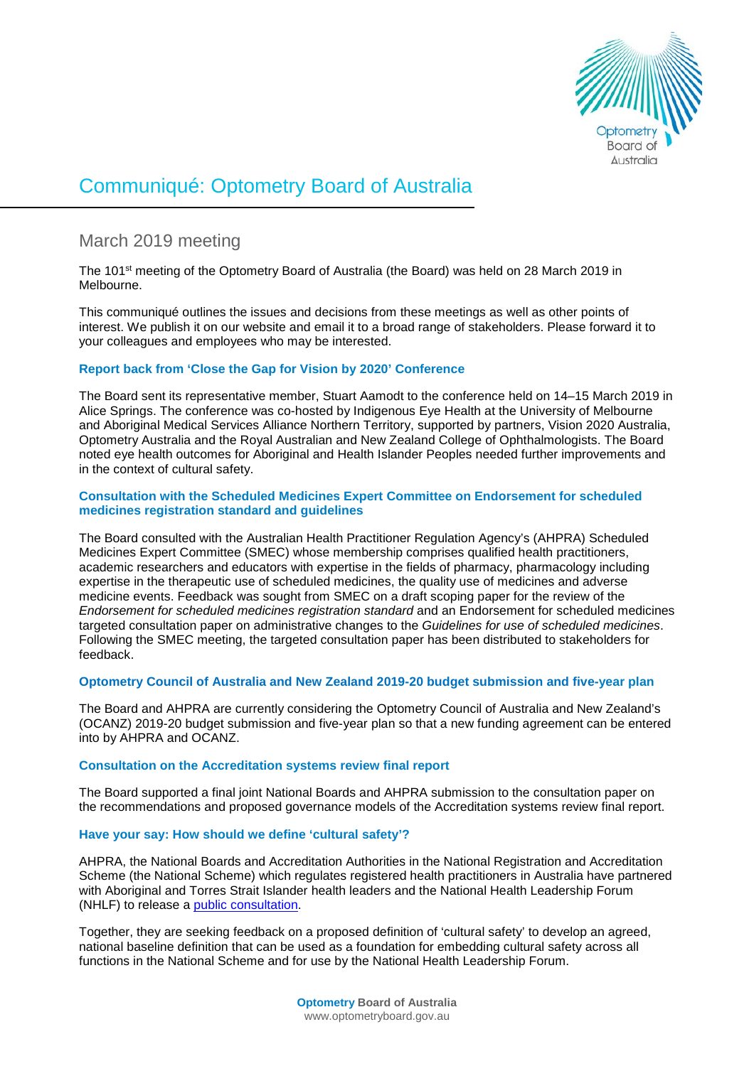

# Communiqué: Optometry Board of Australia

# March 2019 meeting

The 101<sup>st</sup> meeting of the Optometry Board of Australia (the Board) was held on 28 March 2019 in Melbourne.

This communiqué outlines the issues and decisions from these meetings as well as other points of interest. We publish it on our website and email it to a broad range of stakeholders. Please forward it to your colleagues and employees who may be interested.

# **Report back from 'Close the Gap for Vision by 2020' Conference**

The Board sent its representative member, Stuart Aamodt to the conference held on 14–15 March 2019 in Alice Springs. The conference was co-hosted by Indigenous Eye Health at the University of Melbourne and Aboriginal Medical Services Alliance Northern Territory, supported by partners, Vision 2020 Australia, Optometry Australia and the Royal Australian and New Zealand College of Ophthalmologists. The Board noted eye health outcomes for Aboriginal and Health Islander Peoples needed further improvements and in the context of cultural safety.

### **Consultation with the Scheduled Medicines Expert Committee on Endorsement for scheduled medicines registration standard and guidelines**

The Board consulted with the Australian Health Practitioner Regulation Agency's (AHPRA) Scheduled Medicines Expert Committee (SMEC) whose membership comprises qualified health practitioners, academic researchers and educators with expertise in the fields of pharmacy, pharmacology including expertise in the therapeutic use of scheduled medicines, the quality use of medicines and adverse medicine events. Feedback was sought from SMEC on a draft scoping paper for the review of the *Endorsement for scheduled medicines registration standard* and an Endorsement for scheduled medicines targeted consultation paper on administrative changes to the *Guidelines for use of scheduled medicines*. Following the SMEC meeting, the targeted consultation paper has been distributed to stakeholders for feedback.

# **Optometry Council of Australia and New Zealand 2019-20 budget submission and five-year plan**

The Board and AHPRA are currently considering the Optometry Council of Australia and New Zealand's (OCANZ) 2019-20 budget submission and five-year plan so that a new funding agreement can be entered into by AHPRA and OCANZ.

# **Consultation on the Accreditation systems review final report**

The Board supported a final joint National Boards and AHPRA submission to the consultation paper on the recommendations and proposed governance models of the Accreditation systems review final report.

# **Have your say: How should we define 'cultural safety'?**

AHPRA, the National Boards and Accreditation Authorities in the National Registration and Accreditation Scheme (the National Scheme) which regulates registered health practitioners in Australia have partnered with Aboriginal and Torres Strait Islander health leaders and the National Health Leadership Forum (NHLF) to release a [public consultation.](https://www.ahpra.gov.au/News/Consultations.aspx)

Together, they are seeking feedback on a proposed definition of 'cultural safety' to develop an agreed, national baseline definition that can be used as a foundation for embedding cultural safety across all functions in the National Scheme and for use by the National Health Leadership Forum.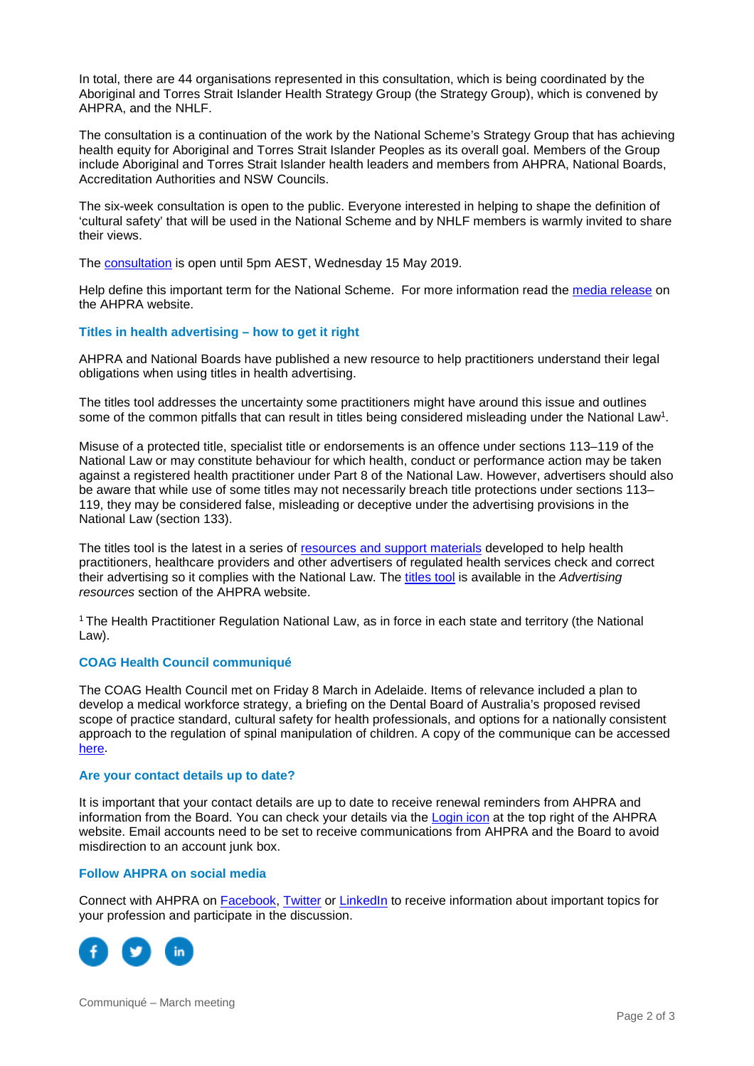In total, there are 44 organisations represented in this consultation, which is being coordinated by the Aboriginal and Torres Strait Islander Health Strategy Group (the Strategy Group), which is convened by AHPRA, and the NHLF.

The consultation is a continuation of the work by the National Scheme's Strategy Group that has achieving health equity for Aboriginal and Torres Strait Islander Peoples as its overall goal. Members of the Group include Aboriginal and Torres Strait Islander health leaders and members from AHPRA, National Boards, Accreditation Authorities and NSW Councils.

The six-week consultation is open to the public. Everyone interested in helping to shape the definition of 'cultural safety' that will be used in the National Scheme and by NHLF members is warmly invited to share their views.

The [consultation](https://www.ahpra.gov.au/News/Consultations.aspx) is open until 5pm AEST, Wednesday 15 May 2019.

Help define this important term for the National Scheme. For more information read the [media release](https://www.ahpra.gov.au/News/2019-04-03-cultural-safety.aspx) on the AHPRA website.

#### **Titles in health advertising – how to get it right**

AHPRA and National Boards have published a new resource to help practitioners understand their legal obligations when using titles in health advertising.

The titles tool addresses the uncertainty some practitioners might have around this issue and outlines some of the common pitfalls that can result in titles being considered misleading under the National Law<sup>1</sup>.

Misuse of a protected title, specialist title or endorsements is an offence under sections 113–119 of the National Law or may constitute behaviour for which health, conduct or performance action may be taken against a registered health practitioner under Part 8 of the National Law. However, advertisers should also be aware that while use of some titles may not necessarily breach title protections under sections 113– 119, they may be considered false, misleading or deceptive under the advertising provisions in the National Law (section 133).

The titles tool is the latest in a series of [resources and support materials](http://www.ahpra.gov.au/Publications/Advertising-resources/Check-and-correct.aspx) developed to help health practitioners, healthcare providers and other advertisers of regulated health services check and correct their advertising so it complies with the National Law. The [titles tool](https://www.ahpra.gov.au/Publications/Advertising-resources/Check-and-correct/Titles.aspx) is available in the *Advertising resources* section of the AHPRA website.

1 The Health Practitioner Regulation National Law, as in force in each state and territory (the National Law).

#### **COAG Health Council communiqué**

The COAG Health Council met on Friday 8 March in Adelaide. Items of relevance included a plan to develop a medical workforce strategy, a briefing on the Dental Board of Australia's proposed revised scope of practice standard, cultural safety for health professionals, and options for a nationally consistent approach to the regulation of spinal manipulation of children. A copy of the communique can be accessed [here.](https://www.coaghealthcouncil.gov.au/Portals/0/Final%20CHC%20Communique%20080319_1.pdf)

#### **Are your contact details up to date?**

It is important that your contact details are up to date to receive renewal reminders from AHPRA and information from the Board. You can check your details via the [Login icon](https://www.ahpra.gov.au/) at the top right of the AHPRA website. Email accounts need to be set to receive communications from AHPRA and the Board to avoid misdirection to an account junk box.

#### **Follow AHPRA on social media**

Connect with AHPRA on **Facebook, [Twitter](https://twitter.com/AHPRA) or [LinkedIn](https://www.linkedin.com/company/australian-health-practitioner-regulation-agency)** to receive information about important topics for your profession and participate in the discussion.